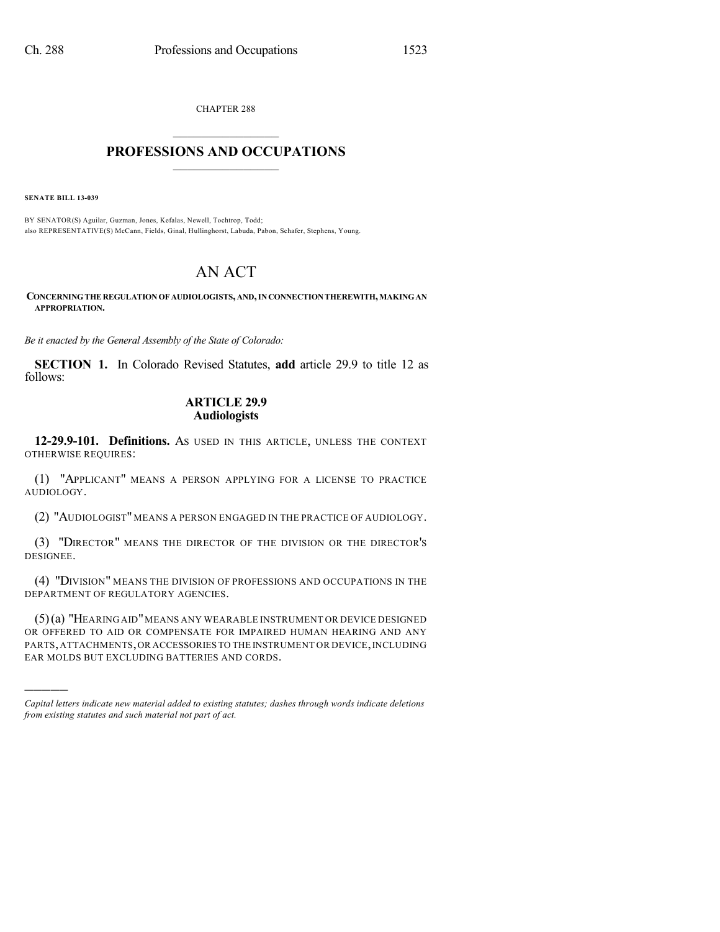CHAPTER 288  $\mathcal{L}_\text{max}$  . The set of the set of the set of the set of the set of the set of the set of the set of the set of the set of the set of the set of the set of the set of the set of the set of the set of the set of the set

## **PROFESSIONS AND OCCUPATIONS**  $\frac{1}{2}$  ,  $\frac{1}{2}$  ,  $\frac{1}{2}$  ,  $\frac{1}{2}$  ,  $\frac{1}{2}$  ,  $\frac{1}{2}$

**SENATE BILL 13-039**

)))))

BY SENATOR(S) Aguilar, Guzman, Jones, Kefalas, Newell, Tochtrop, Todd; also REPRESENTATIVE(S) McCann, Fields, Ginal, Hullinghorst, Labuda, Pabon, Schafer, Stephens, Young.

## AN ACT

**CONCERNINGTHE REGULATIONOF AUDIOLOGISTS, AND,INCONNECTIONTHEREWITH,MAKINGAN APPROPRIATION.**

*Be it enacted by the General Assembly of the State of Colorado:*

**SECTION 1.** In Colorado Revised Statutes, **add** article 29.9 to title 12 as follows:

## **ARTICLE 29.9 Audiologists**

**12-29.9-101. Definitions.** AS USED IN THIS ARTICLE, UNLESS THE CONTEXT OTHERWISE REQUIRES:

(1) "APPLICANT" MEANS A PERSON APPLYING FOR A LICENSE TO PRACTICE AUDIOLOGY.

(2) "AUDIOLOGIST" MEANS A PERSON ENGAGED IN THE PRACTICE OF AUDIOLOGY.

(3) "DIRECTOR" MEANS THE DIRECTOR OF THE DIVISION OR THE DIRECTOR'S DESIGNEE.

(4) "DIVISION" MEANS THE DIVISION OF PROFESSIONS AND OCCUPATIONS IN THE DEPARTMENT OF REGULATORY AGENCIES.

(5)(a) "HEARING AID"MEANS ANY WEARABLE INSTRUMENT OR DEVICE DESIGNED OR OFFERED TO AID OR COMPENSATE FOR IMPAIRED HUMAN HEARING AND ANY PARTS,ATTACHMENTS,OR ACCESSORIES TO THE INSTRUMENT OR DEVICE,INCLUDING EAR MOLDS BUT EXCLUDING BATTERIES AND CORDS.

*Capital letters indicate new material added to existing statutes; dashes through words indicate deletions from existing statutes and such material not part of act.*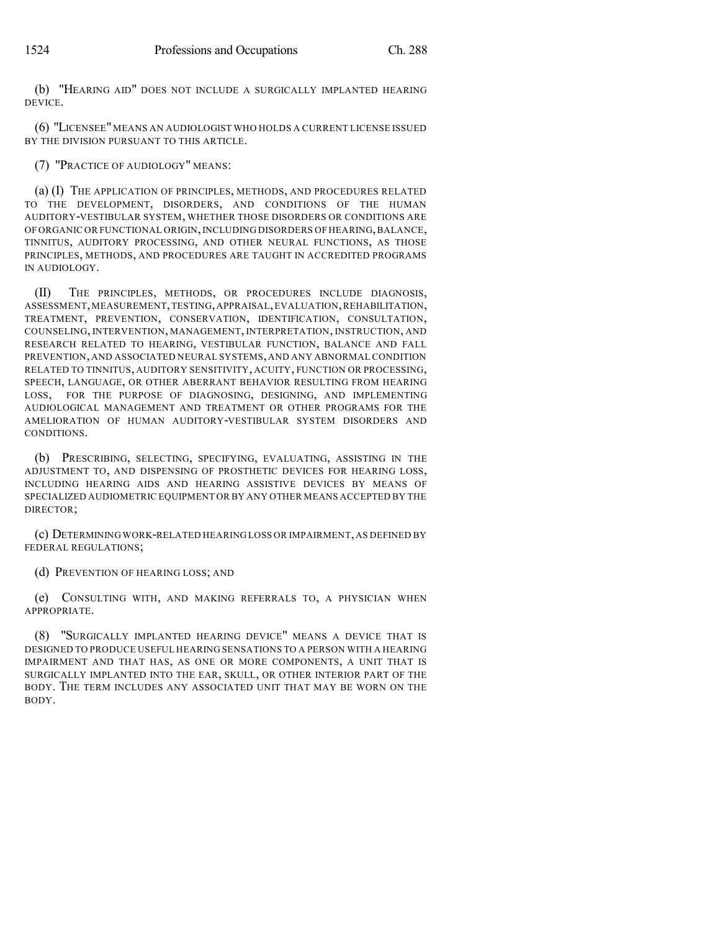(b) "HEARING AID" DOES NOT INCLUDE A SURGICALLY IMPLANTED HEARING DEVICE.

(6) "LICENSEE"MEANS AN AUDIOLOGIST WHO HOLDS A CURRENT LICENSE ISSUED BY THE DIVISION PURSUANT TO THIS ARTICLE.

(7) "PRACTICE OF AUDIOLOGY" MEANS:

(a) (I) THE APPLICATION OF PRINCIPLES, METHODS, AND PROCEDURES RELATED TO THE DEVELOPMENT, DISORDERS, AND CONDITIONS OF THE HUMAN AUDITORY-VESTIBULAR SYSTEM, WHETHER THOSE DISORDERS OR CONDITIONS ARE OF ORGANIC OR FUNCTIONAL ORIGIN,INCLUDING DISORDERS OF HEARING,BALANCE, TINNITUS, AUDITORY PROCESSING, AND OTHER NEURAL FUNCTIONS, AS THOSE PRINCIPLES, METHODS, AND PROCEDURES ARE TAUGHT IN ACCREDITED PROGRAMS IN AUDIOLOGY.

(II) THE PRINCIPLES, METHODS, OR PROCEDURES INCLUDE DIAGNOSIS, ASSESSMENT,MEASUREMENT,TESTING,APPRAISAL,EVALUATION,REHABILITATION, TREATMENT, PREVENTION, CONSERVATION, IDENTIFICATION, CONSULTATION, COUNSELING, INTERVENTION, MANAGEMENT, INTERPRETATION, INSTRUCTION, AND RESEARCH RELATED TO HEARING, VESTIBULAR FUNCTION, BALANCE AND FALL PREVENTION, AND ASSOCIATED NEURAL SYSTEMS, AND ANY ABNORMAL CONDITION RELATED TO TINNITUS, AUDITORY SENSITIVITY, ACUITY, FUNCTION OR PROCESSING, SPEECH, LANGUAGE, OR OTHER ABERRANT BEHAVIOR RESULTING FROM HEARING LOSS, FOR THE PURPOSE OF DIAGNOSING, DESIGNING, AND IMPLEMENTING AUDIOLOGICAL MANAGEMENT AND TREATMENT OR OTHER PROGRAMS FOR THE AMELIORATION OF HUMAN AUDITORY-VESTIBULAR SYSTEM DISORDERS AND CONDITIONS.

(b) PRESCRIBING, SELECTING, SPECIFYING, EVALUATING, ASSISTING IN THE ADJUSTMENT TO, AND DISPENSING OF PROSTHETIC DEVICES FOR HEARING LOSS, INCLUDING HEARING AIDS AND HEARING ASSISTIVE DEVICES BY MEANS OF SPECIALIZED AUDIOMETRIC EQUIPMENT OR BY ANY OTHER MEANS ACCEPTED BY THE DIRECTOR;

(c) DETERMINING WORK-RELATED HEARING LOSS OR IMPAIRMENT,AS DEFINED BY FEDERAL REGULATIONS;

(d) PREVENTION OF HEARING LOSS; AND

(e) CONSULTING WITH, AND MAKING REFERRALS TO, A PHYSICIAN WHEN APPROPRIATE.

(8) "SURGICALLY IMPLANTED HEARING DEVICE" MEANS A DEVICE THAT IS DESIGNED TO PRODUCE USEFUL HEARING SENSATIONS TO A PERSON WITH A HEARING IMPAIRMENT AND THAT HAS, AS ONE OR MORE COMPONENTS, A UNIT THAT IS SURGICALLY IMPLANTED INTO THE EAR, SKULL, OR OTHER INTERIOR PART OF THE BODY. THE TERM INCLUDES ANY ASSOCIATED UNIT THAT MAY BE WORN ON THE BODY.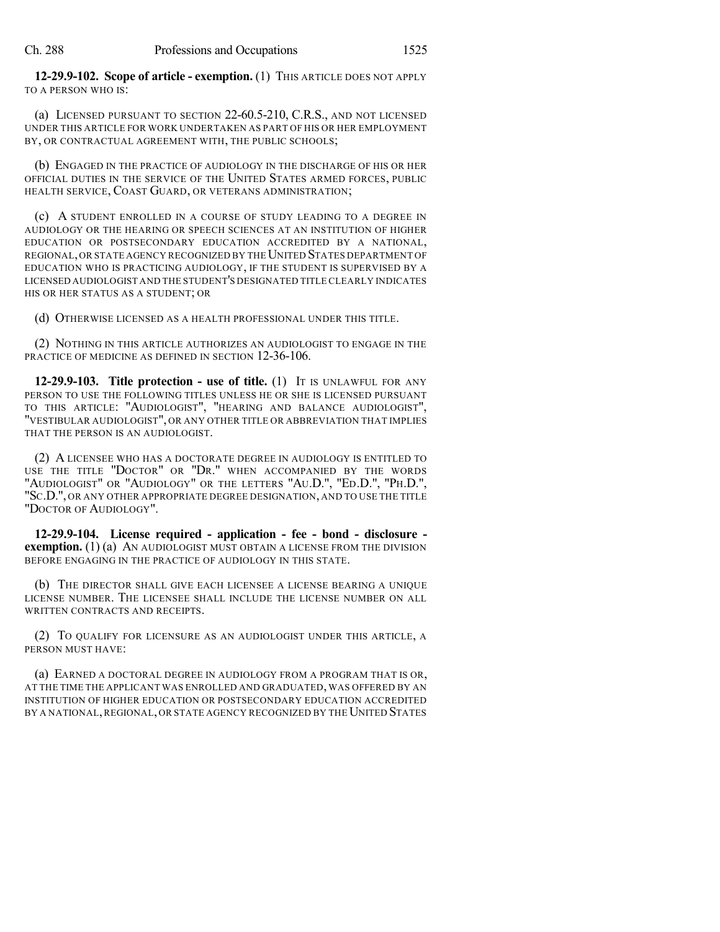**12-29.9-102. Scope of article - exemption.** (1) THIS ARTICLE DOES NOT APPLY TO A PERSON WHO IS:

(a) LICENSED PURSUANT TO SECTION 22-60.5-210, C.R.S., AND NOT LICENSED UNDER THIS ARTICLE FOR WORK UNDERTAKEN AS PART OF HIS OR HER EMPLOYMENT BY, OR CONTRACTUAL AGREEMENT WITH, THE PUBLIC SCHOOLS;

(b) ENGAGED IN THE PRACTICE OF AUDIOLOGY IN THE DISCHARGE OF HIS OR HER OFFICIAL DUTIES IN THE SERVICE OF THE UNITED STATES ARMED FORCES, PUBLIC HEALTH SERVICE, COAST GUARD, OR VETERANS ADMINISTRATION;

(c) A STUDENT ENROLLED IN A COURSE OF STUDY LEADING TO A DEGREE IN AUDIOLOGY OR THE HEARING OR SPEECH SCIENCES AT AN INSTITUTION OF HIGHER EDUCATION OR POSTSECONDARY EDUCATION ACCREDITED BY A NATIONAL, REGIONAL, OR STATE AGENCY RECOGNIZED BY THE UNITED STATES DEPARTMENT OF EDUCATION WHO IS PRACTICING AUDIOLOGY, IF THE STUDENT IS SUPERVISED BY A LICENSED AUDIOLOGIST AND THE STUDENT'S DESIGNATED TITLE CLEARLY INDICATES HIS OR HER STATUS AS A STUDENT; OR

(d) OTHERWISE LICENSED AS A HEALTH PROFESSIONAL UNDER THIS TITLE.

(2) NOTHING IN THIS ARTICLE AUTHORIZES AN AUDIOLOGIST TO ENGAGE IN THE PRACTICE OF MEDICINE AS DEFINED IN SECTION 12-36-106.

**12-29.9-103. Title protection - use of title.** (1) IT IS UNLAWFUL FOR ANY PERSON TO USE THE FOLLOWING TITLES UNLESS HE OR SHE IS LICENSED PURSUANT TO THIS ARTICLE: "AUDIOLOGIST", "HEARING AND BALANCE AUDIOLOGIST", "VESTIBULAR AUDIOLOGIST", OR ANY OTHER TITLE OR ABBREVIATION THAT IMPLIES THAT THE PERSON IS AN AUDIOLOGIST.

(2) A LICENSEE WHO HAS A DOCTORATE DEGREE IN AUDIOLOGY IS ENTITLED TO USE THE TITLE "DOCTOR" OR "DR." WHEN ACCOMPANIED BY THE WORDS "AUDIOLOGIST" OR "AUDIOLOGY" OR THE LETTERS "AU.D.", "ED.D.", "PH.D.", "SC.D.", OR ANY OTHER APPROPRIATE DEGREE DESIGNATION, AND TO USE THE TITLE "DOCTOR OF AUDIOLOGY".

**12-29.9-104. License required - application - fee - bond - disclosure exemption.** (1) (a) AN AUDIOLOGIST MUST OBTAIN A LICENSE FROM THE DIVISION BEFORE ENGAGING IN THE PRACTICE OF AUDIOLOGY IN THIS STATE.

(b) THE DIRECTOR SHALL GIVE EACH LICENSEE A LICENSE BEARING A UNIQUE LICENSE NUMBER. THE LICENSEE SHALL INCLUDE THE LICENSE NUMBER ON ALL WRITTEN CONTRACTS AND RECEIPTS.

(2) TO QUALIFY FOR LICENSURE AS AN AUDIOLOGIST UNDER THIS ARTICLE, A PERSON MUST HAVE:

(a) EARNED A DOCTORAL DEGREE IN AUDIOLOGY FROM A PROGRAM THAT IS OR, AT THE TIME THE APPLICANT WAS ENROLLED AND GRADUATED, WAS OFFERED BY AN INSTITUTION OF HIGHER EDUCATION OR POSTSECONDARY EDUCATION ACCREDITED BY A NATIONAL, REGIONAL, OR STATE AGENCY RECOGNIZED BY THE UNITED STATES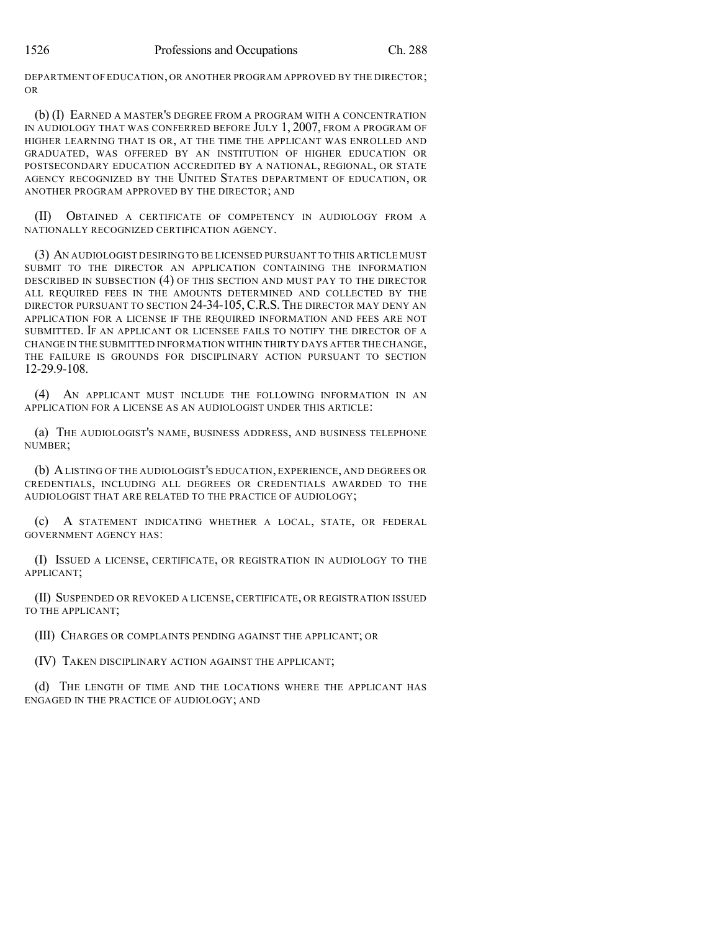DEPARTMENT OF EDUCATION, OR ANOTHER PROGRAM APPROVED BY THE DIRECTOR; OR

(b) (I) EARNED A MASTER'S DEGREE FROM A PROGRAM WITH A CONCENTRATION IN AUDIOLOGY THAT WAS CONFERRED BEFORE JULY 1, 2007, FROM A PROGRAM OF HIGHER LEARNING THAT IS OR, AT THE TIME THE APPLICANT WAS ENROLLED AND GRADUATED, WAS OFFERED BY AN INSTITUTION OF HIGHER EDUCATION OR POSTSECONDARY EDUCATION ACCREDITED BY A NATIONAL, REGIONAL, OR STATE AGENCY RECOGNIZED BY THE UNITED STATES DEPARTMENT OF EDUCATION, OR ANOTHER PROGRAM APPROVED BY THE DIRECTOR; AND

(II) OBTAINED A CERTIFICATE OF COMPETENCY IN AUDIOLOGY FROM A NATIONALLY RECOGNIZED CERTIFICATION AGENCY.

(3) AN AUDIOLOGIST DESIRING TO BE LICENSED PURSUANT TO THIS ARTICLE MUST SUBMIT TO THE DIRECTOR AN APPLICATION CONTAINING THE INFORMATION DESCRIBED IN SUBSECTION (4) OF THIS SECTION AND MUST PAY TO THE DIRECTOR ALL REQUIRED FEES IN THE AMOUNTS DETERMINED AND COLLECTED BY THE DIRECTOR PURSUANT TO SECTION 24-34-105, C.R.S. THE DIRECTOR MAY DENY AN APPLICATION FOR A LICENSE IF THE REQUIRED INFORMATION AND FEES ARE NOT SUBMITTED. IF AN APPLICANT OR LICENSEE FAILS TO NOTIFY THE DIRECTOR OF A CHANGE IN THE SUBMITTED INFORMATION WITHIN THIRTY DAYS AFTER THE CHANGE, THE FAILURE IS GROUNDS FOR DISCIPLINARY ACTION PURSUANT TO SECTION 12-29.9-108.

(4) AN APPLICANT MUST INCLUDE THE FOLLOWING INFORMATION IN AN APPLICATION FOR A LICENSE AS AN AUDIOLOGIST UNDER THIS ARTICLE:

(a) THE AUDIOLOGIST'S NAME, BUSINESS ADDRESS, AND BUSINESS TELEPHONE NUMBER;

(b) ALISTING OF THE AUDIOLOGIST'S EDUCATION, EXPERIENCE, AND DEGREES OR CREDENTIALS, INCLUDING ALL DEGREES OR CREDENTIALS AWARDED TO THE AUDIOLOGIST THAT ARE RELATED TO THE PRACTICE OF AUDIOLOGY;

(c) A STATEMENT INDICATING WHETHER A LOCAL, STATE, OR FEDERAL GOVERNMENT AGENCY HAS:

(I) ISSUED A LICENSE, CERTIFICATE, OR REGISTRATION IN AUDIOLOGY TO THE APPLICANT;

(II) SUSPENDED OR REVOKED A LICENSE, CERTIFICATE, OR REGISTRATION ISSUED TO THE APPLICANT;

(III) CHARGES OR COMPLAINTS PENDING AGAINST THE APPLICANT; OR

(IV) TAKEN DISCIPLINARY ACTION AGAINST THE APPLICANT;

(d) THE LENGTH OF TIME AND THE LOCATIONS WHERE THE APPLICANT HAS ENGAGED IN THE PRACTICE OF AUDIOLOGY; AND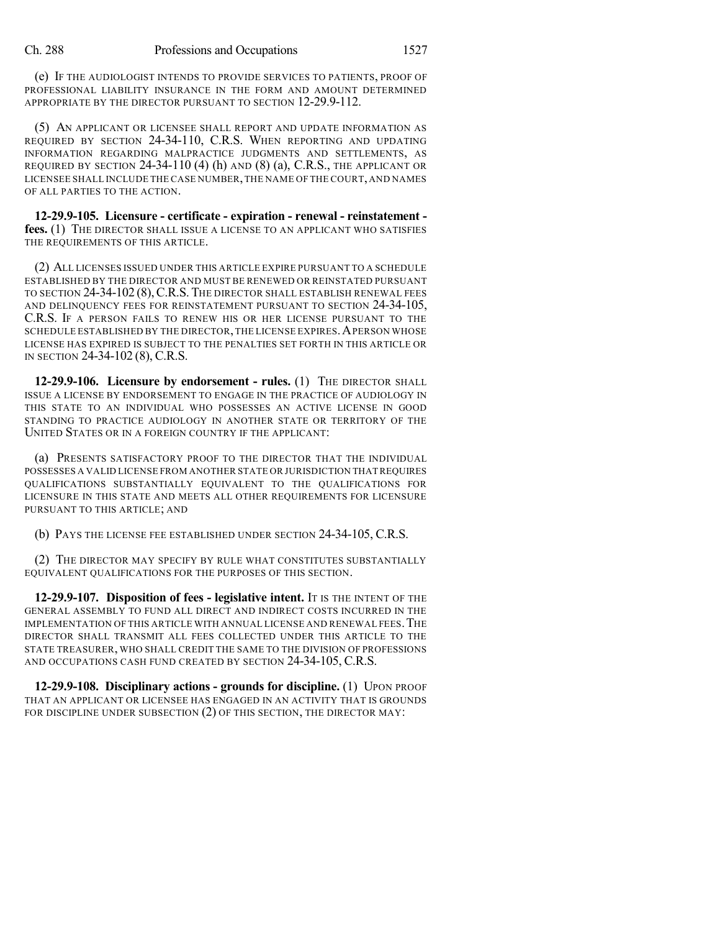(e) IF THE AUDIOLOGIST INTENDS TO PROVIDE SERVICES TO PATIENTS, PROOF OF PROFESSIONAL LIABILITY INSURANCE IN THE FORM AND AMOUNT DETERMINED APPROPRIATE BY THE DIRECTOR PURSUANT TO SECTION 12-29.9-112.

(5) AN APPLICANT OR LICENSEE SHALL REPORT AND UPDATE INFORMATION AS REQUIRED BY SECTION 24-34-110, C.R.S. WHEN REPORTING AND UPDATING INFORMATION REGARDING MALPRACTICE JUDGMENTS AND SETTLEMENTS, AS REQUIRED BY SECTION  $24-34-110$  (4) (h) AND (8) (a), C.R.S., THE APPLICANT OR LICENSEE SHALL INCLUDE THE CASE NUMBER,THE NAME OF THE COURT, AND NAMES OF ALL PARTIES TO THE ACTION.

**12-29.9-105. Licensure - certificate - expiration - renewal - reinstatement fees.** (1) THE DIRECTOR SHALL ISSUE A LICENSE TO AN APPLICANT WHO SATISFIES THE REQUIREMENTS OF THIS ARTICLE.

(2) ALL LICENSES ISSUED UNDER THIS ARTICLE EXPIRE PURSUANT TO A SCHEDULE ESTABLISHED BY THE DIRECTOR AND MUST BE RENEWED OR REINSTATED PURSUANT TO SECTION 24-34-102 (8),C.R.S. THE DIRECTOR SHALL ESTABLISH RENEWAL FEES AND DELINQUENCY FEES FOR REINSTATEMENT PURSUANT TO SECTION 24-34-105, C.R.S. IF A PERSON FAILS TO RENEW HIS OR HER LICENSE PURSUANT TO THE SCHEDULE ESTABLISHED BY THE DIRECTOR, THE LICENSE EXPIRES. A PERSON WHOSE LICENSE HAS EXPIRED IS SUBJECT TO THE PENALTIES SET FORTH IN THIS ARTICLE OR IN SECTION 24-34-102 (8), C.R.S.

**12-29.9-106. Licensure by endorsement - rules.** (1) THE DIRECTOR SHALL ISSUE A LICENSE BY ENDORSEMENT TO ENGAGE IN THE PRACTICE OF AUDIOLOGY IN THIS STATE TO AN INDIVIDUAL WHO POSSESSES AN ACTIVE LICENSE IN GOOD STANDING TO PRACTICE AUDIOLOGY IN ANOTHER STATE OR TERRITORY OF THE UNITED STATES OR IN A FOREIGN COUNTRY IF THE APPLICANT:

(a) PRESENTS SATISFACTORY PROOF TO THE DIRECTOR THAT THE INDIVIDUAL POSSESSES A VALID LICENSE FROM ANOTHER STATE OR JURISDICTION THAT REQUIRES QUALIFICATIONS SUBSTANTIALLY EQUIVALENT TO THE QUALIFICATIONS FOR LICENSURE IN THIS STATE AND MEETS ALL OTHER REQUIREMENTS FOR LICENSURE PURSUANT TO THIS ARTICLE; AND

(b) PAYS THE LICENSE FEE ESTABLISHED UNDER SECTION 24-34-105, C.R.S.

(2) THE DIRECTOR MAY SPECIFY BY RULE WHAT CONSTITUTES SUBSTANTIALLY EQUIVALENT QUALIFICATIONS FOR THE PURPOSES OF THIS SECTION.

**12-29.9-107. Disposition of fees - legislative intent.** IT IS THE INTENT OF THE GENERAL ASSEMBLY TO FUND ALL DIRECT AND INDIRECT COSTS INCURRED IN THE IMPLEMENTATION OF THIS ARTICLE WITH ANNUAL LICENSE AND RENEWAL FEES.THE DIRECTOR SHALL TRANSMIT ALL FEES COLLECTED UNDER THIS ARTICLE TO THE STATE TREASURER, WHO SHALL CREDIT THE SAME TO THE DIVISION OF PROFESSIONS AND OCCUPATIONS CASH FUND CREATED BY SECTION 24-34-105, C.R.S.

**12-29.9-108. Disciplinary actions - grounds for discipline.** (1) UPON PROOF THAT AN APPLICANT OR LICENSEE HAS ENGAGED IN AN ACTIVITY THAT IS GROUNDS FOR DISCIPLINE UNDER SUBSECTION (2) OF THIS SECTION, THE DIRECTOR MAY: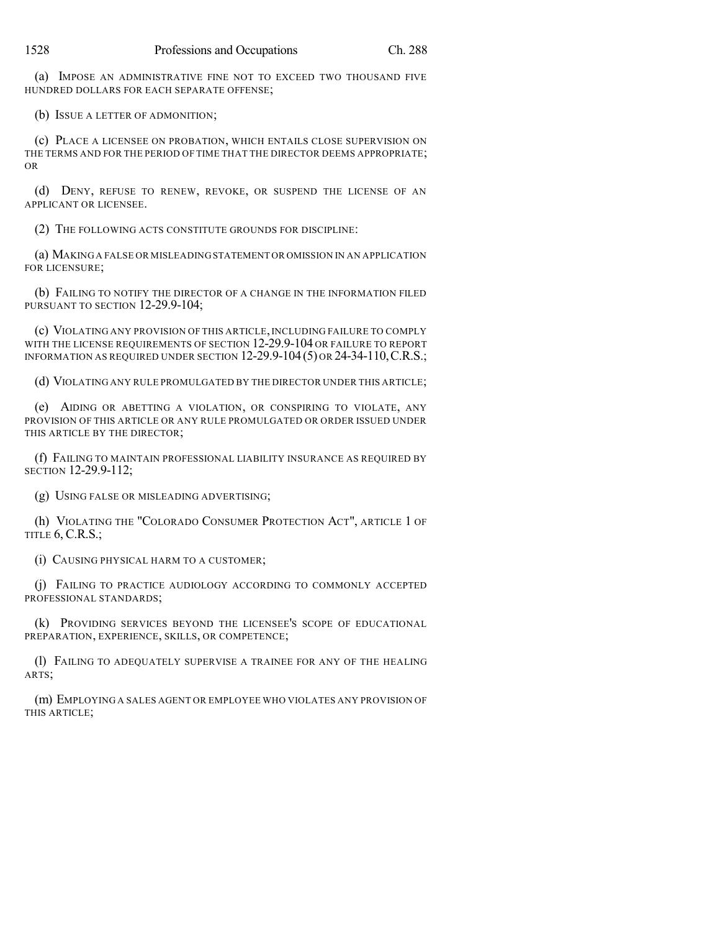(a) IMPOSE AN ADMINISTRATIVE FINE NOT TO EXCEED TWO THOUSAND FIVE HUNDRED DOLLARS FOR EACH SEPARATE OFFENSE;

(b) ISSUE A LETTER OF ADMONITION;

(c) PLACE A LICENSEE ON PROBATION, WHICH ENTAILS CLOSE SUPERVISION ON THE TERMS AND FOR THE PERIOD OF TIME THAT THE DIRECTOR DEEMS APPROPRIATE; OR

(d) DENY, REFUSE TO RENEW, REVOKE, OR SUSPEND THE LICENSE OF AN APPLICANT OR LICENSEE.

(2) THE FOLLOWING ACTS CONSTITUTE GROUNDS FOR DISCIPLINE:

(a) MAKING A FALSE OR MISLEADING STATEMENT OR OMISSION IN AN APPLICATION FOR LICENSURE;

(b) FAILING TO NOTIFY THE DIRECTOR OF A CHANGE IN THE INFORMATION FILED PURSUANT TO SECTION 12-29.9-104;

(c) VIOLATING ANY PROVISION OF THIS ARTICLE, INCLUDING FAILURE TO COMPLY WITH THE LICENSE REQUIREMENTS OF SECTION 12-29.9-104 OR FAILURE TO REPORT INFORMATION AS REQUIRED UNDER SECTION 12-29.9-104(5) OR 24-34-110,C.R.S.;

(d) VIOLATING ANY RULE PROMULGATED BY THE DIRECTOR UNDER THIS ARTICLE;

(e) AIDING OR ABETTING A VIOLATION, OR CONSPIRING TO VIOLATE, ANY PROVISION OF THIS ARTICLE OR ANY RULE PROMULGATED OR ORDER ISSUED UNDER THIS ARTICLE BY THE DIRECTOR;

(f) FAILING TO MAINTAIN PROFESSIONAL LIABILITY INSURANCE AS REQUIRED BY SECTION 12-29.9-112;

(g) USING FALSE OR MISLEADING ADVERTISING;

(h) VIOLATING THE "COLORADO CONSUMER PROTECTION ACT", ARTICLE 1 OF TITLE 6, C.R.S.;

(i) CAUSING PHYSICAL HARM TO A CUSTOMER;

(j) FAILING TO PRACTICE AUDIOLOGY ACCORDING TO COMMONLY ACCEPTED PROFESSIONAL STANDARDS;

(k) PROVIDING SERVICES BEYOND THE LICENSEE'S SCOPE OF EDUCATIONAL PREPARATION, EXPERIENCE, SKILLS, OR COMPETENCE;

(l) FAILING TO ADEQUATELY SUPERVISE A TRAINEE FOR ANY OF THE HEALING ARTS;

(m) EMPLOYING A SALES AGENT OR EMPLOYEE WHO VIOLATES ANY PROVISION OF THIS ARTICLE;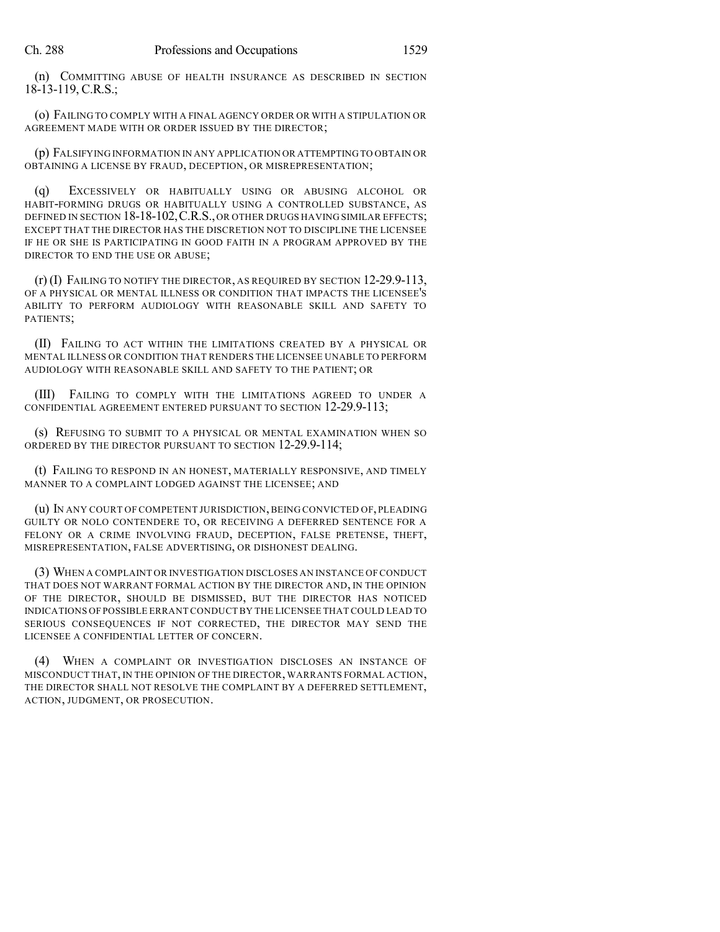(n) COMMITTING ABUSE OF HEALTH INSURANCE AS DESCRIBED IN SECTION 18-13-119, C.R.S.;

(o) FAILING TO COMPLY WITH A FINAL AGENCY ORDER OR WITH A STIPULATION OR AGREEMENT MADE WITH OR ORDER ISSUED BY THE DIRECTOR;

(p) FALSIFYING INFORMATION IN ANY APPLICATION OR ATTEMPTING TO OBTAIN OR OBTAINING A LICENSE BY FRAUD, DECEPTION, OR MISREPRESENTATION;

(q) EXCESSIVELY OR HABITUALLY USING OR ABUSING ALCOHOL OR HABIT-FORMING DRUGS OR HABITUALLY USING A CONTROLLED SUBSTANCE, AS DEFINED IN SECTION 18-18-102, C.R.S., OR OTHER DRUGS HAVING SIMILAR EFFECTS; EXCEPT THAT THE DIRECTOR HAS THE DISCRETION NOT TO DISCIPLINE THE LICENSEE IF HE OR SHE IS PARTICIPATING IN GOOD FAITH IN A PROGRAM APPROVED BY THE DIRECTOR TO END THE USE OR ABUSE;

(r) (I) FAILING TO NOTIFY THE DIRECTOR, AS REQUIRED BY SECTION 12-29.9-113, OF A PHYSICAL OR MENTAL ILLNESS OR CONDITION THAT IMPACTS THE LICENSEE'S ABILITY TO PERFORM AUDIOLOGY WITH REASONABLE SKILL AND SAFETY TO PATIENTS;

(II) FAILING TO ACT WITHIN THE LIMITATIONS CREATED BY A PHYSICAL OR MENTAL ILLNESS OR CONDITION THAT RENDERS THE LICENSEE UNABLE TO PERFORM AUDIOLOGY WITH REASONABLE SKILL AND SAFETY TO THE PATIENT; OR

(III) FAILING TO COMPLY WITH THE LIMITATIONS AGREED TO UNDER A CONFIDENTIAL AGREEMENT ENTERED PURSUANT TO SECTION 12-29.9-113;

(s) REFUSING TO SUBMIT TO A PHYSICAL OR MENTAL EXAMINATION WHEN SO ORDERED BY THE DIRECTOR PURSUANT TO SECTION 12-29.9-114;

(t) FAILING TO RESPOND IN AN HONEST, MATERIALLY RESPONSIVE, AND TIMELY MANNER TO A COMPLAINT LODGED AGAINST THE LICENSEE; AND

(u) IN ANY COURT OF COMPETENT JURISDICTION, BEING CONVICTED OF, PLEADING GUILTY OR NOLO CONTENDERE TO, OR RECEIVING A DEFERRED SENTENCE FOR A FELONY OR A CRIME INVOLVING FRAUD, DECEPTION, FALSE PRETENSE, THEFT, MISREPRESENTATION, FALSE ADVERTISING, OR DISHONEST DEALING.

(3) WHEN A COMPLAINT OR INVESTIGATION DISCLOSES AN INSTANCE OF CONDUCT THAT DOES NOT WARRANT FORMAL ACTION BY THE DIRECTOR AND, IN THE OPINION OF THE DIRECTOR, SHOULD BE DISMISSED, BUT THE DIRECTOR HAS NOTICED INDICATIONS OF POSSIBLE ERRANT CONDUCTBY THE LICENSEE THAT COULD LEAD TO SERIOUS CONSEQUENCES IF NOT CORRECTED, THE DIRECTOR MAY SEND THE LICENSEE A CONFIDENTIAL LETTER OF CONCERN.

(4) WHEN A COMPLAINT OR INVESTIGATION DISCLOSES AN INSTANCE OF MISCONDUCT THAT, IN THE OPINION OF THE DIRECTOR, WARRANTS FORMAL ACTION, THE DIRECTOR SHALL NOT RESOLVE THE COMPLAINT BY A DEFERRED SETTLEMENT, ACTION, JUDGMENT, OR PROSECUTION.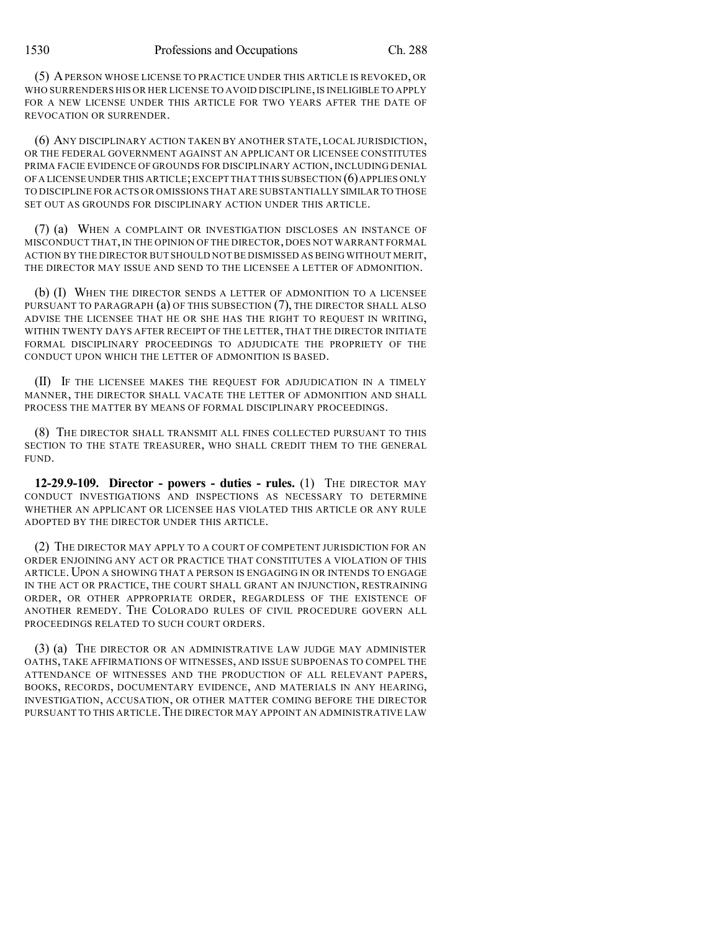(5) APERSON WHOSE LICENSE TO PRACTICE UNDER THIS ARTICLE IS REVOKED, OR WHO SURRENDERS HIS OR HER LICENSE TO AVOID DISCIPLINE,IS INELIGIBLE TO APPLY FOR A NEW LICENSE UNDER THIS ARTICLE FOR TWO YEARS AFTER THE DATE OF REVOCATION OR SURRENDER.

(6) ANY DISCIPLINARY ACTION TAKEN BY ANOTHER STATE, LOCAL JURISDICTION, OR THE FEDERAL GOVERNMENT AGAINST AN APPLICANT OR LICENSEE CONSTITUTES PRIMA FACIE EVIDENCE OF GROUNDS FOR DISCIPLINARY ACTION, INCLUDING DENIAL OF A LICENSE UNDER THIS ARTICLE;EXCEPT THAT THIS SUBSECTION (6)APPLIES ONLY TO DISCIPLINE FOR ACTS OR OMISSIONS THAT ARE SUBSTANTIALLY SIMILAR TO THOSE SET OUT AS GROUNDS FOR DISCIPLINARY ACTION UNDER THIS ARTICLE.

(7) (a) WHEN A COMPLAINT OR INVESTIGATION DISCLOSES AN INSTANCE OF MISCONDUCT THAT,IN THE OPINION OF THE DIRECTOR, DOES NOT WARRANT FORMAL ACTION BY THE DIRECTOR BUT SHOULD NOT BE DISMISSED AS BEING WITHOUT MERIT, THE DIRECTOR MAY ISSUE AND SEND TO THE LICENSEE A LETTER OF ADMONITION.

(b) (I) WHEN THE DIRECTOR SENDS A LETTER OF ADMONITION TO A LICENSEE PURSUANT TO PARAGRAPH (a) OF THIS SUBSECTION (7), THE DIRECTOR SHALL ALSO ADVISE THE LICENSEE THAT HE OR SHE HAS THE RIGHT TO REQUEST IN WRITING, WITHIN TWENTY DAYS AFTER RECEIPT OF THE LETTER, THAT THE DIRECTOR INITIATE FORMAL DISCIPLINARY PROCEEDINGS TO ADJUDICATE THE PROPRIETY OF THE CONDUCT UPON WHICH THE LETTER OF ADMONITION IS BASED.

(II) IF THE LICENSEE MAKES THE REQUEST FOR ADJUDICATION IN A TIMELY MANNER, THE DIRECTOR SHALL VACATE THE LETTER OF ADMONITION AND SHALL PROCESS THE MATTER BY MEANS OF FORMAL DISCIPLINARY PROCEEDINGS.

(8) THE DIRECTOR SHALL TRANSMIT ALL FINES COLLECTED PURSUANT TO THIS SECTION TO THE STATE TREASURER, WHO SHALL CREDIT THEM TO THE GENERAL FUND.

**12-29.9-109. Director - powers - duties - rules.** (1) THE DIRECTOR MAY CONDUCT INVESTIGATIONS AND INSPECTIONS AS NECESSARY TO DETERMINE WHETHER AN APPLICANT OR LICENSEE HAS VIOLATED THIS ARTICLE OR ANY RULE ADOPTED BY THE DIRECTOR UNDER THIS ARTICLE.

(2) THE DIRECTOR MAY APPLY TO A COURT OF COMPETENT JURISDICTION FOR AN ORDER ENJOINING ANY ACT OR PRACTICE THAT CONSTITUTES A VIOLATION OF THIS ARTICLE.UPON A SHOWING THAT A PERSON IS ENGAGING IN OR INTENDS TO ENGAGE IN THE ACT OR PRACTICE, THE COURT SHALL GRANT AN INJUNCTION, RESTRAINING ORDER, OR OTHER APPROPRIATE ORDER, REGARDLESS OF THE EXISTENCE OF ANOTHER REMEDY. THE COLORADO RULES OF CIVIL PROCEDURE GOVERN ALL PROCEEDINGS RELATED TO SUCH COURT ORDERS.

(3) (a) THE DIRECTOR OR AN ADMINISTRATIVE LAW JUDGE MAY ADMINISTER OATHS, TAKE AFFIRMATIONS OF WITNESSES, AND ISSUE SUBPOENAS TO COMPEL THE ATTENDANCE OF WITNESSES AND THE PRODUCTION OF ALL RELEVANT PAPERS, BOOKS, RECORDS, DOCUMENTARY EVIDENCE, AND MATERIALS IN ANY HEARING, INVESTIGATION, ACCUSATION, OR OTHER MATTER COMING BEFORE THE DIRECTOR PURSUANT TO THIS ARTICLE.THE DIRECTOR MAY APPOINT AN ADMINISTRATIVE LAW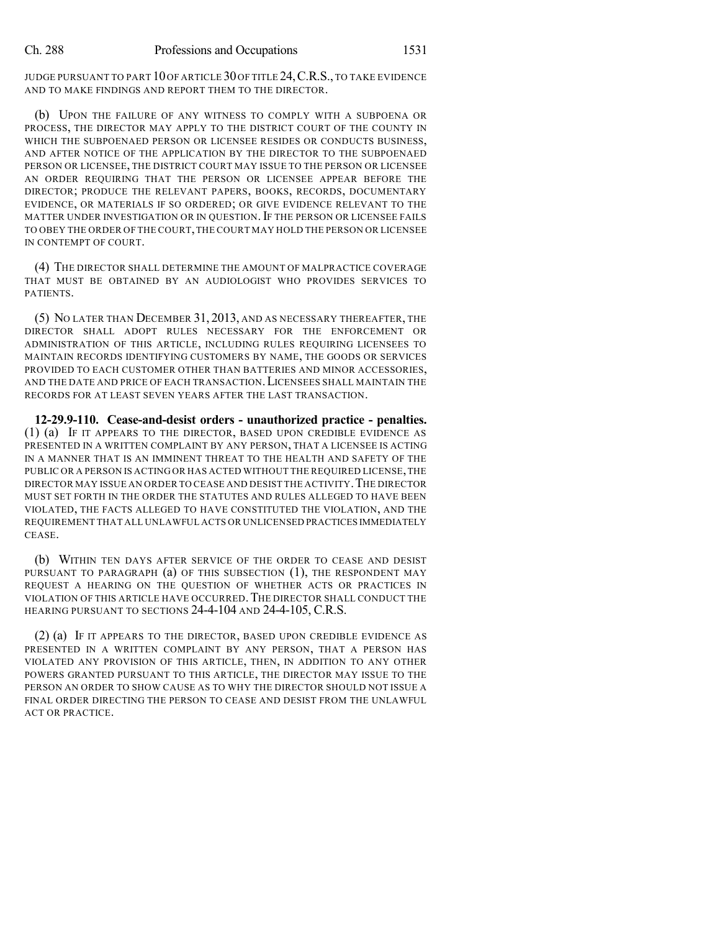JUDGE PURSUANT TO PART 10 OF ARTICLE 30 OF TITLE 24, C.R.S., TO TAKE EVIDENCE AND TO MAKE FINDINGS AND REPORT THEM TO THE DIRECTOR.

(b) UPON THE FAILURE OF ANY WITNESS TO COMPLY WITH A SUBPOENA OR PROCESS, THE DIRECTOR MAY APPLY TO THE DISTRICT COURT OF THE COUNTY IN WHICH THE SUBPOENAED PERSON OR LICENSEE RESIDES OR CONDUCTS BUSINESS, AND AFTER NOTICE OF THE APPLICATION BY THE DIRECTOR TO THE SUBPOENAED PERSON OR LICENSEE, THE DISTRICT COURT MAY ISSUE TO THE PERSON OR LICENSEE AN ORDER REQUIRING THAT THE PERSON OR LICENSEE APPEAR BEFORE THE DIRECTOR; PRODUCE THE RELEVANT PAPERS, BOOKS, RECORDS, DOCUMENTARY EVIDENCE, OR MATERIALS IF SO ORDERED; OR GIVE EVIDENCE RELEVANT TO THE MATTER UNDER INVESTIGATION OR IN QUESTION. IF THE PERSON OR LICENSEE FAILS TO OBEY THE ORDER OF THE COURT,THE COURT MAY HOLD THE PERSON OR LICENSEE IN CONTEMPT OF COURT.

(4) THE DIRECTOR SHALL DETERMINE THE AMOUNT OF MALPRACTICE COVERAGE THAT MUST BE OBTAINED BY AN AUDIOLOGIST WHO PROVIDES SERVICES TO PATIENTS.

(5) NO LATER THAN DECEMBER 31, 2013, AND AS NECESSARY THEREAFTER, THE DIRECTOR SHALL ADOPT RULES NECESSARY FOR THE ENFORCEMENT OR ADMINISTRATION OF THIS ARTICLE, INCLUDING RULES REQUIRING LICENSEES TO MAINTAIN RECORDS IDENTIFYING CUSTOMERS BY NAME, THE GOODS OR SERVICES PROVIDED TO EACH CUSTOMER OTHER THAN BATTERIES AND MINOR ACCESSORIES, AND THE DATE AND PRICE OF EACH TRANSACTION.LICENSEES SHALL MAINTAIN THE RECORDS FOR AT LEAST SEVEN YEARS AFTER THE LAST TRANSACTION.

**12-29.9-110. Cease-and-desist orders - unauthorized practice - penalties.** (1) (a) IF IT APPEARS TO THE DIRECTOR, BASED UPON CREDIBLE EVIDENCE AS PRESENTED IN A WRITTEN COMPLAINT BY ANY PERSON, THAT A LICENSEE IS ACTING IN A MANNER THAT IS AN IMMINENT THREAT TO THE HEALTH AND SAFETY OF THE PUBLIC OR A PERSON IS ACTING OR HAS ACTED WITHOUT THE REQUIRED LICENSE,THE DIRECTOR MAY ISSUE AN ORDER TO CEASE AND DESIST THE ACTIVITY. THE DIRECTOR MUST SET FORTH IN THE ORDER THE STATUTES AND RULES ALLEGED TO HAVE BEEN VIOLATED, THE FACTS ALLEGED TO HAVE CONSTITUTED THE VIOLATION, AND THE REQUIREMENT THAT ALL UNLAWFUL ACTS OR UNLICENSED PRACTICES IMMEDIATELY CEASE.

(b) WITHIN TEN DAYS AFTER SERVICE OF THE ORDER TO CEASE AND DESIST PURSUANT TO PARAGRAPH  $(a)$  of this subsection  $(1)$ , the respondent may REQUEST A HEARING ON THE QUESTION OF WHETHER ACTS OR PRACTICES IN VIOLATION OF THIS ARTICLE HAVE OCCURRED.THE DIRECTOR SHALL CONDUCT THE HEARING PURSUANT TO SECTIONS 24-4-104 AND 24-4-105, C.R.S.

(2) (a) IF IT APPEARS TO THE DIRECTOR, BASED UPON CREDIBLE EVIDENCE AS PRESENTED IN A WRITTEN COMPLAINT BY ANY PERSON, THAT A PERSON HAS VIOLATED ANY PROVISION OF THIS ARTICLE, THEN, IN ADDITION TO ANY OTHER POWERS GRANTED PURSUANT TO THIS ARTICLE, THE DIRECTOR MAY ISSUE TO THE PERSON AN ORDER TO SHOW CAUSE AS TO WHY THE DIRECTOR SHOULD NOT ISSUE A FINAL ORDER DIRECTING THE PERSON TO CEASE AND DESIST FROM THE UNLAWFUL ACT OR PRACTICE.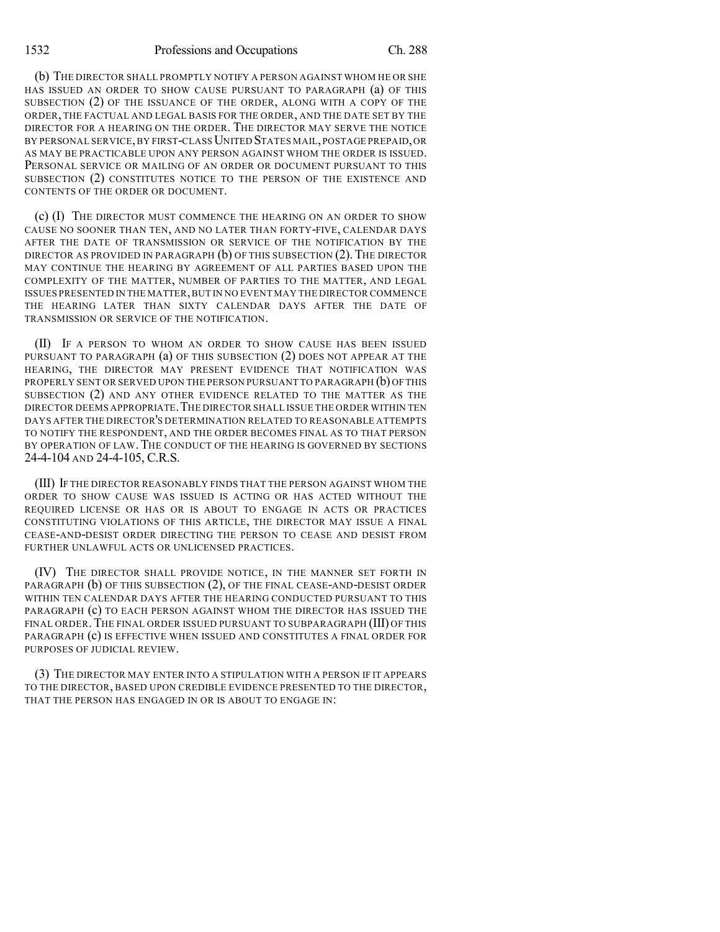(b) THE DIRECTOR SHALL PROMPTLY NOTIFY A PERSON AGAINST WHOM HE OR SHE HAS ISSUED AN ORDER TO SHOW CAUSE PURSUANT TO PARAGRAPH (a) OF THIS SUBSECTION (2) OF THE ISSUANCE OF THE ORDER, ALONG WITH A COPY OF THE ORDER, THE FACTUAL AND LEGAL BASIS FOR THE ORDER, AND THE DATE SET BY THE DIRECTOR FOR A HEARING ON THE ORDER. THE DIRECTOR MAY SERVE THE NOTICE BY PERSONAL SERVICE,BY FIRST-CLASSUNITED STATES MAIL,POSTAGE PREPAID,OR AS MAY BE PRACTICABLE UPON ANY PERSON AGAINST WHOM THE ORDER IS ISSUED. PERSONAL SERVICE OR MAILING OF AN ORDER OR DOCUMENT PURSUANT TO THIS SUBSECTION (2) CONSTITUTES NOTICE TO THE PERSON OF THE EXISTENCE AND CONTENTS OF THE ORDER OR DOCUMENT.

(c) (I) THE DIRECTOR MUST COMMENCE THE HEARING ON AN ORDER TO SHOW CAUSE NO SOONER THAN TEN, AND NO LATER THAN FORTY-FIVE, CALENDAR DAYS AFTER THE DATE OF TRANSMISSION OR SERVICE OF THE NOTIFICATION BY THE DIRECTOR AS PROVIDED IN PARAGRAPH  $(b)$  of this subsection  $(2)$ . The director MAY CONTINUE THE HEARING BY AGREEMENT OF ALL PARTIES BASED UPON THE COMPLEXITY OF THE MATTER, NUMBER OF PARTIES TO THE MATTER, AND LEGAL ISSUES PRESENTED IN THE MATTER,BUT IN NO EVENT MAY THE DIRECTOR COMMENCE THE HEARING LATER THAN SIXTY CALENDAR DAYS AFTER THE DATE OF TRANSMISSION OR SERVICE OF THE NOTIFICATION.

(II) IF A PERSON TO WHOM AN ORDER TO SHOW CAUSE HAS BEEN ISSUED PURSUANT TO PARAGRAPH (a) OF THIS SUBSECTION (2) DOES NOT APPEAR AT THE HEARING, THE DIRECTOR MAY PRESENT EVIDENCE THAT NOTIFICATION WAS PROPERLY SENT OR SERVED UPON THE PERSON PURSUANT TO PARAGRAPH (b) OFTHIS SUBSECTION (2) AND ANY OTHER EVIDENCE RELATED TO THE MATTER AS THE DIRECTOR DEEMS APPROPRIATE.THE DIRECTOR SHALL ISSUE THE ORDER WITHIN TEN DAYS AFTER THE DIRECTOR'S DETERMINATION RELATED TO REASONABLE ATTEMPTS TO NOTIFY THE RESPONDENT, AND THE ORDER BECOMES FINAL AS TO THAT PERSON BY OPERATION OF LAW. THE CONDUCT OF THE HEARING IS GOVERNED BY SECTIONS 24-4-104 AND 24-4-105, C.R.S.

(III) IF THE DIRECTOR REASONABLY FINDS THAT THE PERSON AGAINST WHOM THE ORDER TO SHOW CAUSE WAS ISSUED IS ACTING OR HAS ACTED WITHOUT THE REQUIRED LICENSE OR HAS OR IS ABOUT TO ENGAGE IN ACTS OR PRACTICES CONSTITUTING VIOLATIONS OF THIS ARTICLE, THE DIRECTOR MAY ISSUE A FINAL CEASE-AND-DESIST ORDER DIRECTING THE PERSON TO CEASE AND DESIST FROM FURTHER UNLAWFUL ACTS OR UNLICENSED PRACTICES.

(IV) THE DIRECTOR SHALL PROVIDE NOTICE, IN THE MANNER SET FORTH IN PARAGRAPH (b) OF THIS SUBSECTION (2), OF THE FINAL CEASE-AND-DESIST ORDER WITHIN TEN CALENDAR DAYS AFTER THE HEARING CONDUCTED PURSUANT TO THIS PARAGRAPH (c) TO EACH PERSON AGAINST WHOM THE DIRECTOR HAS ISSUED THE FINAL ORDER. THE FINAL ORDER ISSUED PURSUANT TO SUBPARAGRAPH (III) OF THIS PARAGRAPH (c) IS EFFECTIVE WHEN ISSUED AND CONSTITUTES A FINAL ORDER FOR PURPOSES OF JUDICIAL REVIEW.

(3) THE DIRECTOR MAY ENTER INTO A STIPULATION WITH A PERSON IF IT APPEARS TO THE DIRECTOR, BASED UPON CREDIBLE EVIDENCE PRESENTED TO THE DIRECTOR, THAT THE PERSON HAS ENGAGED IN OR IS ABOUT TO ENGAGE IN: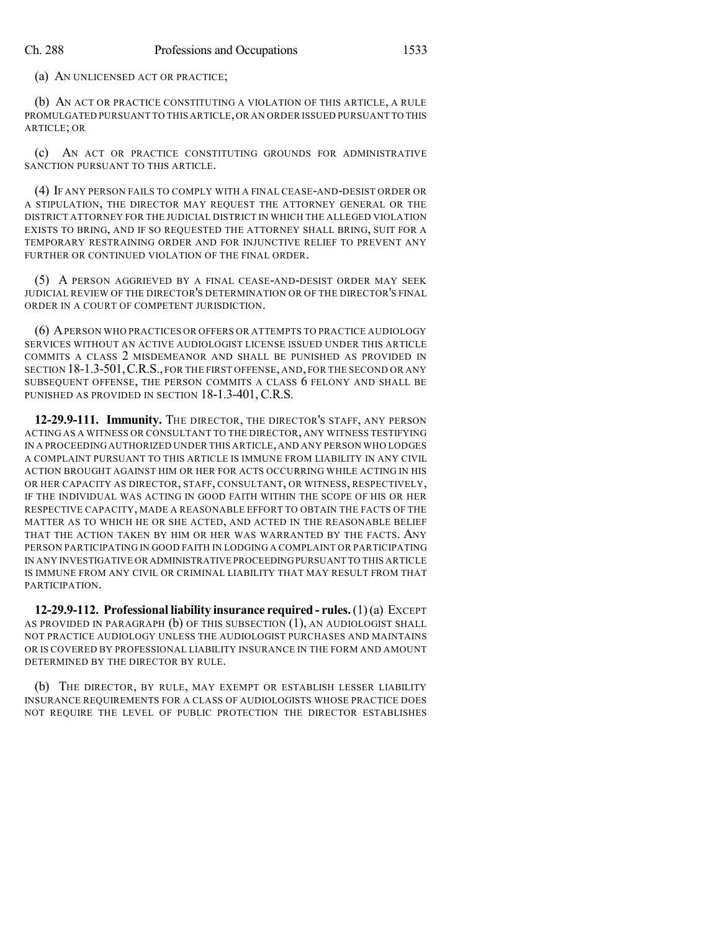(a) AN UNLICENSED ACT OR PRACTICE;

(b) AN ACT OR PRACTICE CONSTITUTING A VIOLATION OF THIS ARTICLE, A RULE PROMULGATED PURSUANT TO THIS ARTICLE,OR AN ORDER ISSUED PURSUANT TO THIS ARTICLE; OR

(c) AN ACT OR PRACTICE CONSTITUTING GROUNDS FOR ADMINISTRATIVE SANCTION PURSUANT TO THIS ARTICLE.

(4) IF ANY PERSON FAILS TO COMPLY WITH A FINAL CEASE-AND-DESIST ORDER OR A STIPULATION, THE DIRECTOR MAY REQUEST THE ATTORNEY GENERAL OR THE DISTRICT ATTORNEY FOR THE JUDICIAL DISTRICT IN WHICH THE ALLEGED VIOLATION EXISTS TO BRING, AND IF SO REQUESTED THE ATTORNEY SHALL BRING, SUIT FOR A TEMPORARY RESTRAINING ORDER AND FOR INJUNCTIVE RELIEF TO PREVENT ANY FURTHER OR CONTINUED VIOLATION OF THE FINAL ORDER.

(5) A PERSON AGGRIEVED BY A FINAL CEASE-AND-DESIST ORDER MAY SEEK JUDICIAL REVIEW OF THE DIRECTOR'S DETERMINATION OR OF THE DIRECTOR'S FINAL ORDER IN A COURT OF COMPETENT JURISDICTION.

(6) APERSON WHO PRACTICES OR OFFERS OR ATTEMPTS TO PRACTICE AUDIOLOGY SERVICES WITHOUT AN ACTIVE AUDIOLOGIST LICENSE ISSUED UNDER THIS ARTICLE COMMITS A CLASS 2 MISDEMEANOR AND SHALL BE PUNISHED AS PROVIDED IN SECTION 18-1.3-501,C.R.S., FOR THE FIRST OFFENSE, AND, FOR THE SECOND OR ANY SUBSEQUENT OFFENSE, THE PERSON COMMITS A CLASS 6 FELONY AND SHALL BE PUNISHED AS PROVIDED IN SECTION 18-1.3-401, C.R.S.

**12-29.9-111. Immunity.** THE DIRECTOR, THE DIRECTOR'S STAFF, ANY PERSON ACTING AS A WITNESS OR CONSULTANT TO THE DIRECTOR, ANY WITNESS TESTIFYING IN A PROCEEDING AUTHORIZED UNDER THIS ARTICLE,AND ANY PERSON WHO LODGES A COMPLAINT PURSUANT TO THIS ARTICLE IS IMMUNE FROM LIABILITY IN ANY CIVIL ACTION BROUGHT AGAINST HIM OR HER FOR ACTS OCCURRING WHILE ACTING IN HIS OR HER CAPACITY AS DIRECTOR, STAFF, CONSULTANT, OR WITNESS, RESPECTIVELY, IF THE INDIVIDUAL WAS ACTING IN GOOD FAITH WITHIN THE SCOPE OF HIS OR HER RESPECTIVE CAPACITY, MADE A REASONABLE EFFORT TO OBTAIN THE FACTS OF THE MATTER AS TO WHICH HE OR SHE ACTED, AND ACTED IN THE REASONABLE BELIEF THAT THE ACTION TAKEN BY HIM OR HER WAS WARRANTED BY THE FACTS. ANY PERSON PARTICIPATING IN GOOD FAITH IN LODGING A COMPLAINT OR PARTICIPATING IN ANY INVESTIGATIVE OR ADMINISTRATIVE PROCEEDINGPURSUANT TO THIS ARTICLE IS IMMUNE FROM ANY CIVIL OR CRIMINAL LIABILITY THAT MAY RESULT FROM THAT **PARTICIPATION.** 

**12-29.9-112. Professional liability insurance required - rules.**(1)(a) EXCEPT AS PROVIDED IN PARAGRAPH  $(b)$  OF THIS SUBSECTION  $(1)$ , AN AUDIOLOGIST SHALL NOT PRACTICE AUDIOLOGY UNLESS THE AUDIOLOGIST PURCHASES AND MAINTAINS OR IS COVERED BY PROFESSIONAL LIABILITY INSURANCE IN THE FORM AND AMOUNT DETERMINED BY THE DIRECTOR BY RULE.

(b) THE DIRECTOR, BY RULE, MAY EXEMPT OR ESTABLISH LESSER LIABILITY INSURANCE REQUIREMENTS FOR A CLASS OF AUDIOLOGISTS WHOSE PRACTICE DOES NOT REQUIRE THE LEVEL OF PUBLIC PROTECTION THE DIRECTOR ESTABLISHES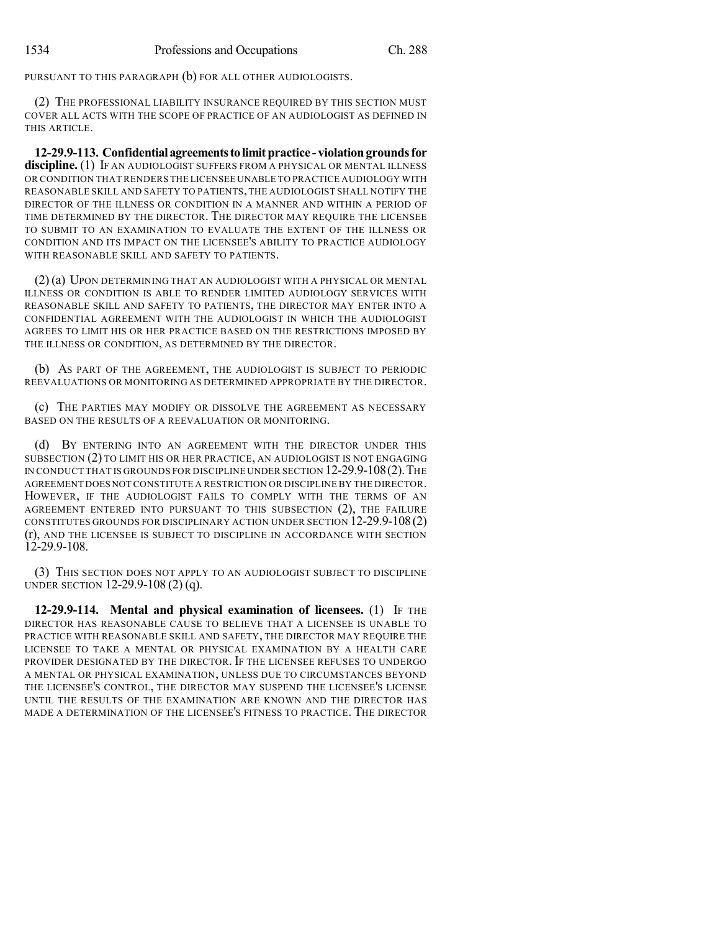PURSUANT TO THIS PARAGRAPH (b) FOR ALL OTHER AUDIOLOGISTS.

(2) THE PROFESSIONAL LIABILITY INSURANCE REQUIRED BY THIS SECTION MUST COVER ALL ACTS WITH THE SCOPE OF PRACTICE OF AN AUDIOLOGIST AS DEFINED IN THIS ARTICLE.

**12-29.9-113. Confidentialagreementstolimitpractice - violationgroundsfor discipline.** (1) IF AN AUDIOLOGIST SUFFERS FROM A PHYSICAL OR MENTAL ILLNESS OR CONDITION THAT RENDERS THE LICENSEE UNABLE TO PRACTICE AUDIOLOGY WITH REASONABLE SKILL AND SAFETY TO PATIENTS,THE AUDIOLOGIST SHALL NOTIFY THE DIRECTOR OF THE ILLNESS OR CONDITION IN A MANNER AND WITHIN A PERIOD OF TIME DETERMINED BY THE DIRECTOR. THE DIRECTOR MAY REQUIRE THE LICENSEE TO SUBMIT TO AN EXAMINATION TO EVALUATE THE EXTENT OF THE ILLNESS OR CONDITION AND ITS IMPACT ON THE LICENSEE'S ABILITY TO PRACTICE AUDIOLOGY WITH REASONABLE SKILL AND SAFETY TO PATIENTS.

(2) (a) UPON DETERMINING THAT AN AUDIOLOGIST WITH A PHYSICAL OR MENTAL ILLNESS OR CONDITION IS ABLE TO RENDER LIMITED AUDIOLOGY SERVICES WITH REASONABLE SKILL AND SAFETY TO PATIENTS, THE DIRECTOR MAY ENTER INTO A CONFIDENTIAL AGREEMENT WITH THE AUDIOLOGIST IN WHICH THE AUDIOLOGIST AGREES TO LIMIT HIS OR HER PRACTICE BASED ON THE RESTRICTIONS IMPOSED BY THE ILLNESS OR CONDITION, AS DETERMINED BY THE DIRECTOR.

(b) AS PART OF THE AGREEMENT, THE AUDIOLOGIST IS SUBJECT TO PERIODIC REEVALUATIONS OR MONITORING AS DETERMINED APPROPRIATE BY THE DIRECTOR.

(c) THE PARTIES MAY MODIFY OR DISSOLVE THE AGREEMENT AS NECESSARY BASED ON THE RESULTS OF A REEVALUATION OR MONITORING.

(d) BY ENTERING INTO AN AGREEMENT WITH THE DIRECTOR UNDER THIS SUBSECTION (2) TO LIMIT HIS OR HER PRACTICE, AN AUDIOLOGIST IS NOT ENGAGING IN CONDUCT THAT IS GROUNDS FOR DISCIPLINE UNDER SECTION 12-29.9-108(2).THE AGREEMENT DOES NOT CONSTITUTE A RESTRICTION OR DISCIPLINE BY THE DIRECTOR. HOWEVER, IF THE AUDIOLOGIST FAILS TO COMPLY WITH THE TERMS OF AN AGREEMENT ENTERED INTO PURSUANT TO THIS SUBSECTION (2), THE FAILURE CONSTITUTES GROUNDS FOR DISCIPLINARY ACTION UNDER SECTION 12-29.9-108(2) (r), AND THE LICENSEE IS SUBJECT TO DISCIPLINE IN ACCORDANCE WITH SECTION 12-29.9-108.

(3) THIS SECTION DOES NOT APPLY TO AN AUDIOLOGIST SUBJECT TO DISCIPLINE UNDER SECTION 12-29.9-108 (2) (q).

**12-29.9-114. Mental and physical examination of licensees.** (1) IF THE DIRECTOR HAS REASONABLE CAUSE TO BELIEVE THAT A LICENSEE IS UNABLE TO PRACTICE WITH REASONABLE SKILL AND SAFETY, THE DIRECTOR MAY REQUIRE THE LICENSEE TO TAKE A MENTAL OR PHYSICAL EXAMINATION BY A HEALTH CARE PROVIDER DESIGNATED BY THE DIRECTOR. IF THE LICENSEE REFUSES TO UNDERGO A MENTAL OR PHYSICAL EXAMINATION, UNLESS DUE TO CIRCUMSTANCES BEYOND THE LICENSEE'S CONTROL, THE DIRECTOR MAY SUSPEND THE LICENSEE'S LICENSE UNTIL THE RESULTS OF THE EXAMINATION ARE KNOWN AND THE DIRECTOR HAS MADE A DETERMINATION OF THE LICENSEE'S FITNESS TO PRACTICE. THE DIRECTOR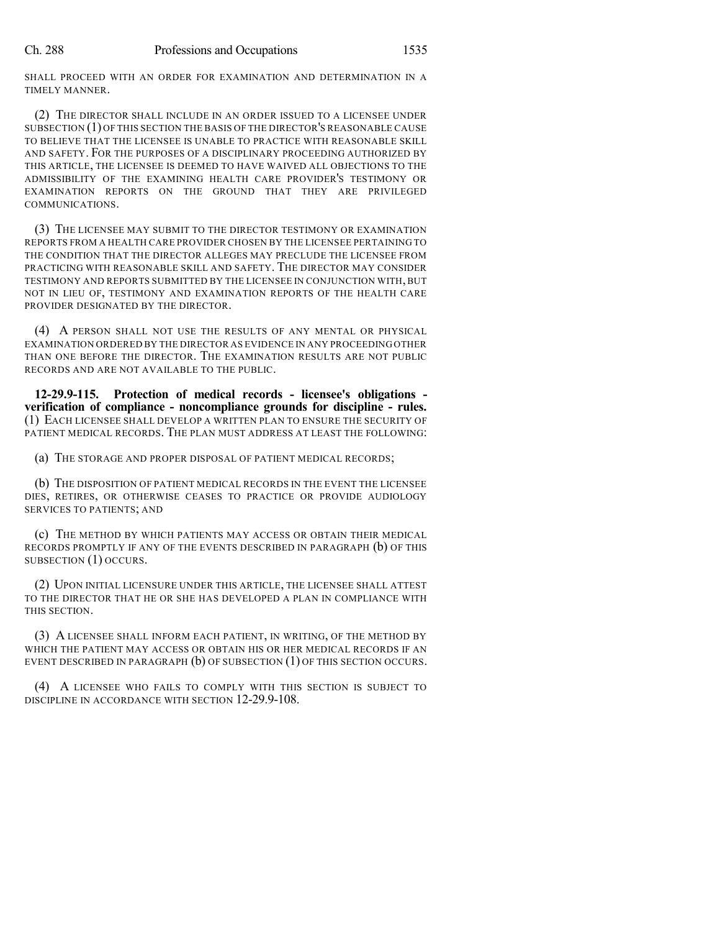SHALL PROCEED WITH AN ORDER FOR EXAMINATION AND DETERMINATION IN A TIMELY MANNER.

(2) THE DIRECTOR SHALL INCLUDE IN AN ORDER ISSUED TO A LICENSEE UNDER SUBSECTION (1) OF THIS SECTION THE BASIS OF THE DIRECTOR'S REASONABLE CAUSE TO BELIEVE THAT THE LICENSEE IS UNABLE TO PRACTICE WITH REASONABLE SKILL AND SAFETY. FOR THE PURPOSES OF A DISCIPLINARY PROCEEDING AUTHORIZED BY THIS ARTICLE, THE LICENSEE IS DEEMED TO HAVE WAIVED ALL OBJECTIONS TO THE ADMISSIBILITY OF THE EXAMINING HEALTH CARE PROVIDER'S TESTIMONY OR EXAMINATION REPORTS ON THE GROUND THAT THEY ARE PRIVILEGED COMMUNICATIONS.

(3) THE LICENSEE MAY SUBMIT TO THE DIRECTOR TESTIMONY OR EXAMINATION REPORTS FROM A HEALTH CARE PROVIDER CHOSEN BY THE LICENSEE PERTAINING TO THE CONDITION THAT THE DIRECTOR ALLEGES MAY PRECLUDE THE LICENSEE FROM PRACTICING WITH REASONABLE SKILL AND SAFETY. THE DIRECTOR MAY CONSIDER TESTIMONY AND REPORTS SUBMITTED BY THE LICENSEE IN CONJUNCTION WITH,BUT NOT IN LIEU OF, TESTIMONY AND EXAMINATION REPORTS OF THE HEALTH CARE PROVIDER DESIGNATED BY THE DIRECTOR.

(4) A PERSON SHALL NOT USE THE RESULTS OF ANY MENTAL OR PHYSICAL EXAMINATION ORDERED BY THE DIRECTOR AS EVIDENCE IN ANY PROCEEDING OTHER THAN ONE BEFORE THE DIRECTOR. THE EXAMINATION RESULTS ARE NOT PUBLIC RECORDS AND ARE NOT AVAILABLE TO THE PUBLIC.

**12-29.9-115. Protection of medical records - licensee's obligations verification of compliance - noncompliance grounds for discipline - rules.** (1) EACH LICENSEE SHALL DEVELOP A WRITTEN PLAN TO ENSURE THE SECURITY OF PATIENT MEDICAL RECORDS. THE PLAN MUST ADDRESS AT LEAST THE FOLLOWING:

(a) THE STORAGE AND PROPER DISPOSAL OF PATIENT MEDICAL RECORDS;

(b) THE DISPOSITION OF PATIENT MEDICAL RECORDS IN THE EVENT THE LICENSEE DIES, RETIRES, OR OTHERWISE CEASES TO PRACTICE OR PROVIDE AUDIOLOGY SERVICES TO PATIENTS; AND

(c) THE METHOD BY WHICH PATIENTS MAY ACCESS OR OBTAIN THEIR MEDICAL RECORDS PROMPTLY IF ANY OF THE EVENTS DESCRIBED IN PARAGRAPH (b) OF THIS SUBSECTION (1) OCCURS.

(2) UPON INITIAL LICENSURE UNDER THIS ARTICLE, THE LICENSEE SHALL ATTEST TO THE DIRECTOR THAT HE OR SHE HAS DEVELOPED A PLAN IN COMPLIANCE WITH THIS SECTION.

(3) A LICENSEE SHALL INFORM EACH PATIENT, IN WRITING, OF THE METHOD BY WHICH THE PATIENT MAY ACCESS OR OBTAIN HIS OR HER MEDICAL RECORDS IF AN EVENT DESCRIBED IN PARAGRAPH (b) OF SUBSECTION (1) OF THIS SECTION OCCURS.

(4) A LICENSEE WHO FAILS TO COMPLY WITH THIS SECTION IS SUBJECT TO DISCIPLINE IN ACCORDANCE WITH SECTION 12-29.9-108.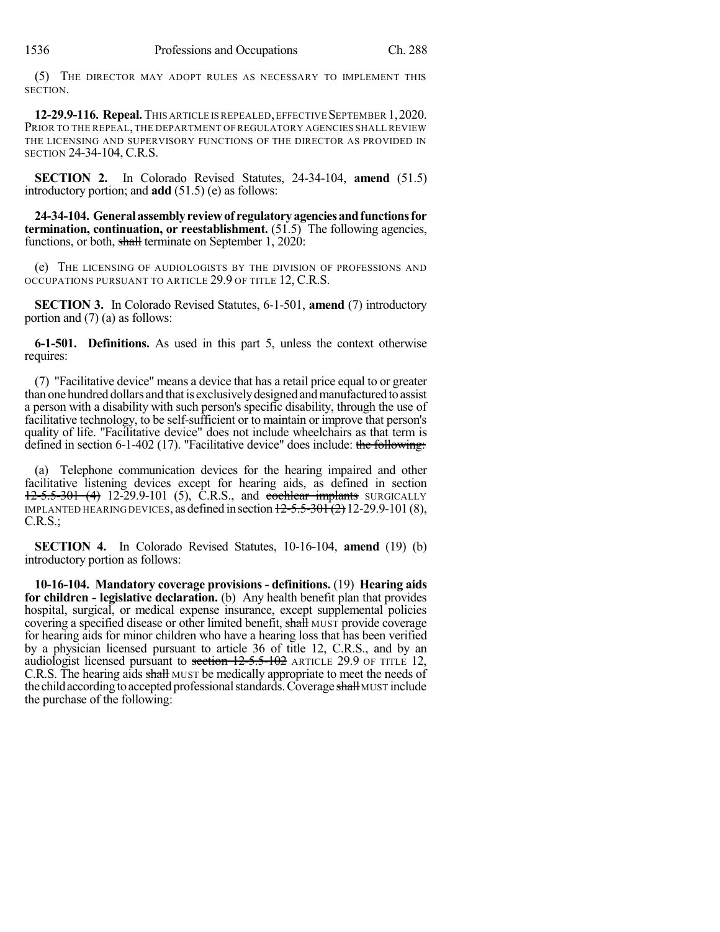(5) THE DIRECTOR MAY ADOPT RULES AS NECESSARY TO IMPLEMENT THIS SECTION.

**12-29.9-116. Repeal.**THIS ARTICLE IS REPEALED,EFFECTIVE SEPTEMBER 1,2020. PRIOR TO THE REPEAL, THE DEPARTMENT OF REGULATORY AGENCIES SHALL REVIEW THE LICENSING AND SUPERVISORY FUNCTIONS OF THE DIRECTOR AS PROVIDED IN SECTION 24-34-104, C.R.S.

**SECTION 2.** In Colorado Revised Statutes, 24-34-104, **amend** (51.5) introductory portion; and **add** (51.5) (e) as follows:

**24-34-104. Generalassemblyreviewof regulatoryagenciesandfunctionsfor termination, continuation, or reestablishment.** (51.5) The following agencies, functions, or both, shall terminate on September 1, 2020:

(e) THE LICENSING OF AUDIOLOGISTS BY THE DIVISION OF PROFESSIONS AND OCCUPATIONS PURSUANT TO ARTICLE 29.9 OF TITLE 12, C.R.S.

**SECTION 3.** In Colorado Revised Statutes, 6-1-501, **amend** (7) introductory portion and (7) (a) as follows:

**6-1-501. Definitions.** As used in this part 5, unless the context otherwise requires:

(7) "Facilitative device" means a device that has a retail price equal to or greater than one hundred dollars and that is exclusively designed and manufactured to assist a person with a disability with such person's specific disability, through the use of facilitative technology, to be self-sufficient or to maintain or improve that person's quality of life. "Facilitative device" does not include wheelchairs as that term is defined in section 6-1-402 (17). "Facilitative device" does include: the following:

(a) Telephone communication devices for the hearing impaired and other facilitative listening devices except for hearing aids, as defined in section 12-5.5-301 (4) 12-29.9-101 (5), C.R.S., and cochlear implants SURGICALLY IMPLANTED HEARING DEVICES, as defined in section  $12-5.5-301(2)$  12-29.9-101 (8), C.R.S.;

**SECTION 4.** In Colorado Revised Statutes, 10-16-104, **amend** (19) (b) introductory portion as follows:

**10-16-104. Mandatory coverage provisions - definitions.** (19) **Hearing aids for children - legislative declaration.** (b) Any health benefit plan that provides hospital, surgical, or medical expense insurance, except supplemental policies covering a specified disease or other limited benefit, shall MUST provide coverage for hearing aids for minor children who have a hearing loss that has been verified by a physician licensed pursuant to article 36 of title 12, C.R.S., and by an audiologist licensed pursuant to section  $12-5.5-102$  ARTICLE 29.9 OF TITLE 12, C.R.S. The hearing aids shall MUST be medically appropriate to meet the needs of the child according to accepted professional standards. Coverage shall MUST include the purchase of the following: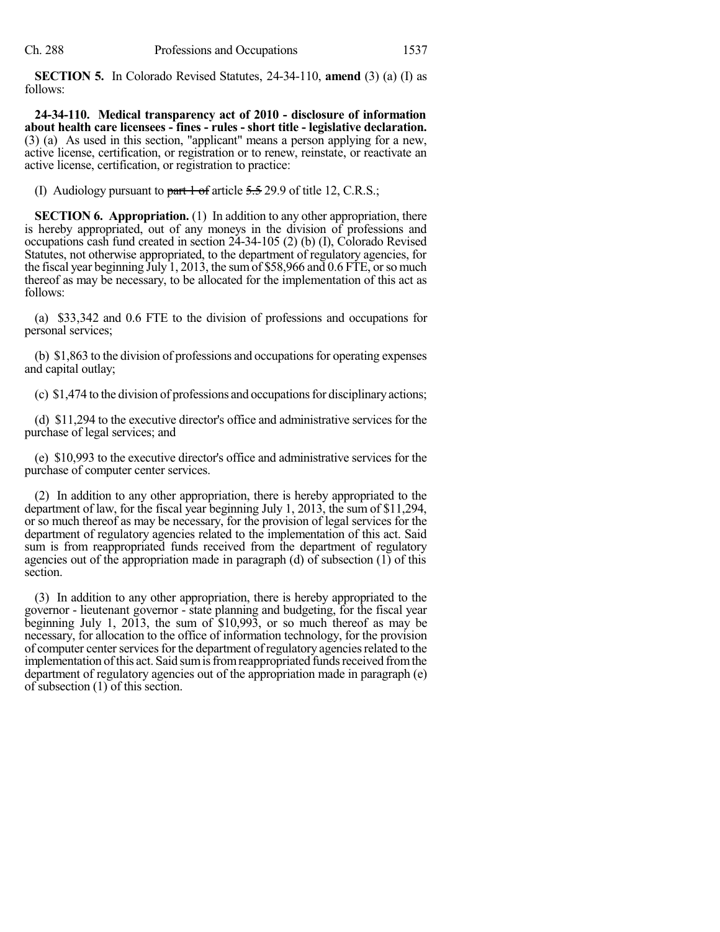**SECTION 5.** In Colorado Revised Statutes, 24-34-110, **amend** (3) (a) (I) as follows:

**24-34-110. Medical transparency act of 2010 - disclosure of information about health care licensees - fines - rules - short title - legislative declaration.** (3) (a) As used in this section, "applicant" means a person applying for a new, active license, certification, or registration or to renew, reinstate, or reactivate an active license, certification, or registration to practice:

(I) Audiology pursuant to  $part 1 of$  article  $5.5$  29.9 of title 12, C.R.S.;

**SECTION 6. Appropriation.** (1) In addition to any other appropriation, there is hereby appropriated, out of any moneys in the division of professions and occupations cash fund created in section 24-34-105 (2) (b) (I), Colorado Revised Statutes, not otherwise appropriated, to the department of regulatory agencies, for the fiscal year beginning July 1, 2013, the sum of \$58,966 and  $0.6$  FTE, or so much thereof as may be necessary, to be allocated for the implementation of this act as follows:

(a) \$33,342 and 0.6 FTE to the division of professions and occupations for personal services;

(b)  $$1,863$  to the division of professions and occupations for operating expenses and capital outlay;

(c)  $$1,474$  to the division of professions and occupations for disciplinary actions;

(d) \$11,294 to the executive director's office and administrative services for the purchase of legal services; and

(e) \$10,993 to the executive director's office and administrative services for the purchase of computer center services.

(2) In addition to any other appropriation, there is hereby appropriated to the department of law, for the fiscal year beginning July 1, 2013, the sum of \$11,294, or so much thereof as may be necessary, for the provision of legal services for the department of regulatory agencies related to the implementation of this act. Said sum is from reappropriated funds received from the department of regulatory agencies out of the appropriation made in paragraph (d) of subsection (1) of this section.

(3) In addition to any other appropriation, there is hereby appropriated to the governor - lieutenant governor - state planning and budgeting, for the fiscal year beginning July 1, 2013, the sum of \$10,993, or so much thereof as may be necessary, for allocation to the office of information technology, for the provision of computer center services for the department of regulatory agencies related to the implementation of this act. Said sum is from reappropriated funds received from the department of regulatory agencies out of the appropriation made in paragraph (e) of subsection (1) of this section.